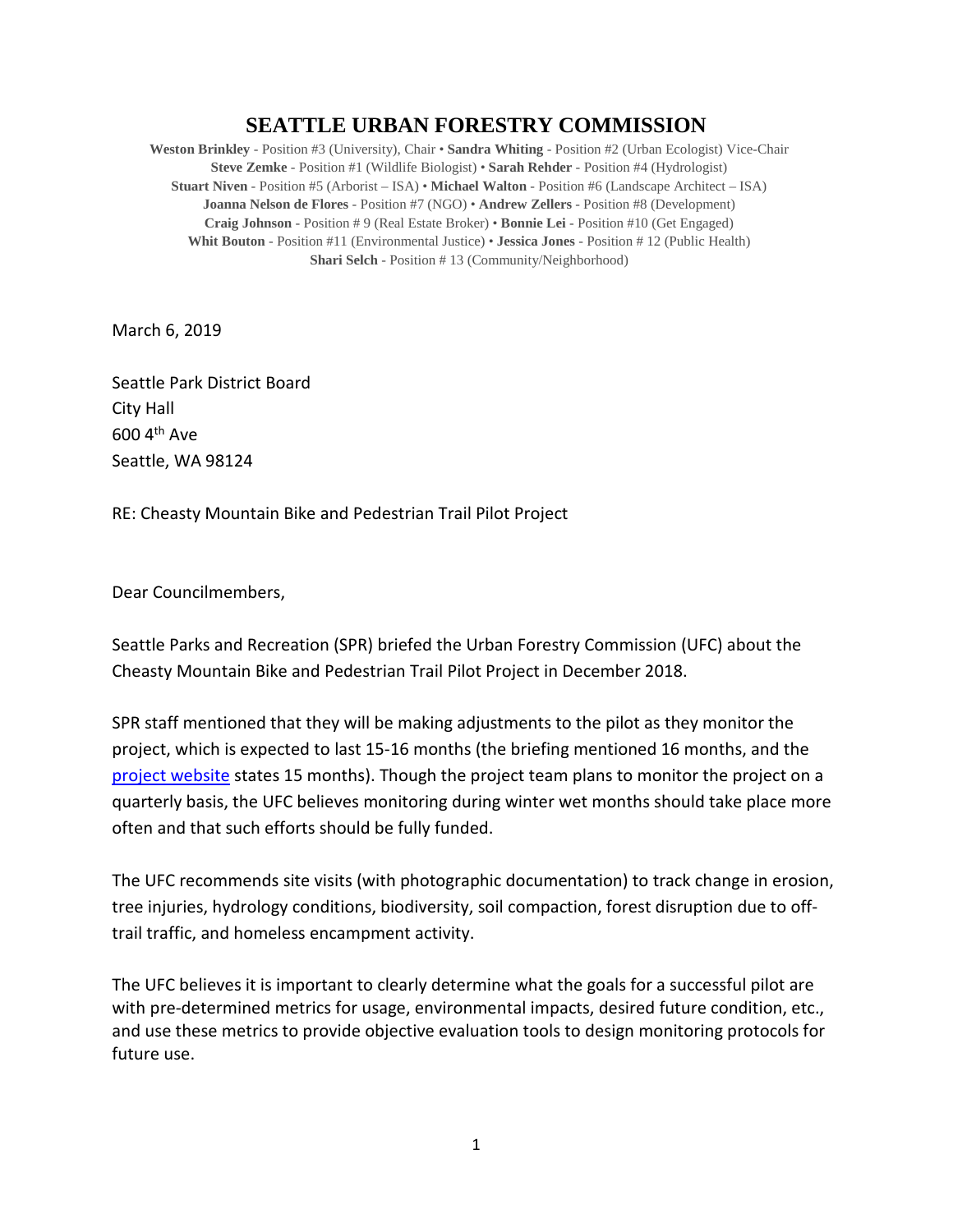## **SEATTLE URBAN FORESTRY COMMISSION**

**Weston Brinkley** - Position #3 (University), Chair • **Sandra Whiting** - Position #2 (Urban Ecologist) Vice-Chair **Steve Zemke** - Position #1 (Wildlife Biologist) • **Sarah Rehder** - Position #4 (Hydrologist) **Stuart Niven** - Position #5 (Arborist – ISA) • **Michael Walton** - Position #6 (Landscape Architect – ISA) **Joanna Nelson de Flores** - Position #7 (NGO) • **Andrew Zellers** - Position #8 (Development) **Craig Johnson** - Position # 9 (Real Estate Broker) • **Bonnie Lei** - Position #10 (Get Engaged) **Whit Bouton** - Position #11 (Environmental Justice) • **Jessica Jones** - Position # 12 (Public Health) **Shari Selch** - Position # 13 (Community/Neighborhood)

March 6, 2019

Seattle Park District Board City Hall 600 4th Ave Seattle, WA 98124

RE: Cheasty Mountain Bike and Pedestrian Trail Pilot Project

Dear Councilmembers,

Seattle Parks and Recreation (SPR) briefed the Urban Forestry Commission (UFC) about the Cheasty Mountain Bike and Pedestrian Trail Pilot Project in December 2018.

SPR staff mentioned that they will be making adjustments to the pilot as they monitor the project, which is expected to last 15-16 months (the briefing mentioned 16 months, and the [project website](http://www.seattle.gov/parks/about-us/current-projects/cheasty-mountain-bike/pedestrian-trail-pilot-project) states 15 months). Though the project team plans to monitor the project on a quarterly basis, the UFC believes monitoring during winter wet months should take place more often and that such efforts should be fully funded.

The UFC recommends site visits (with photographic documentation) to track change in erosion, tree injuries, hydrology conditions, biodiversity, soil compaction, forest disruption due to offtrail traffic, and homeless encampment activity.

The UFC believes it is important to clearly determine what the goals for a successful pilot are with pre-determined metrics for usage, environmental impacts, desired future condition, etc., and use these metrics to provide objective evaluation tools to design monitoring protocols for future use.